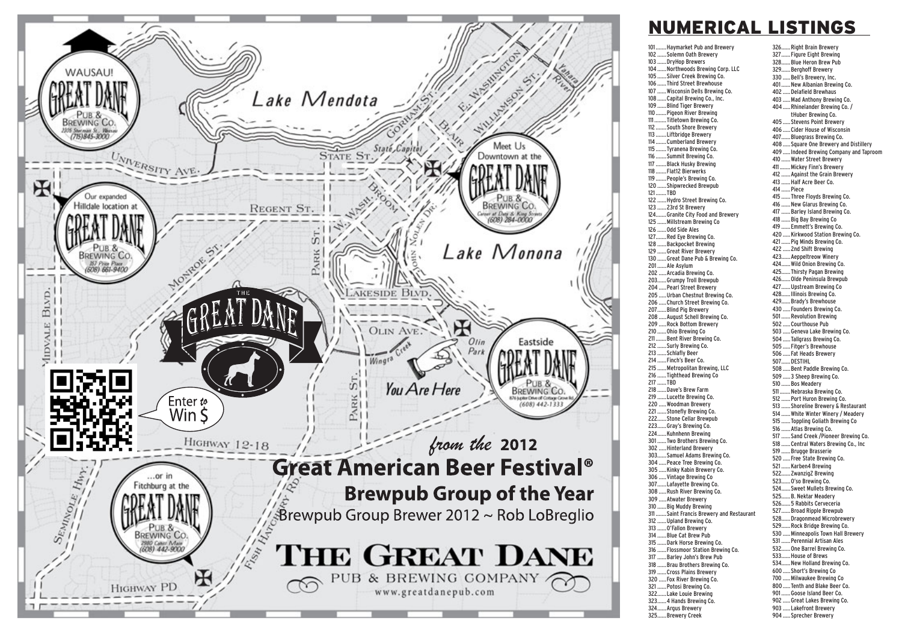

## **NUMERICAL LISTINGS**

326...... Right Brain Brewery

101....... Haymarket Pub and Brewery 102 ...... Solemn Oath Brewery 103 ...... DryHop Brewers 104 ...... Northwoods Brewing Corp. LLC 105 ...... Silver Creek Brewing Co. 106 ...... Third Street Brewhouse 107 ...... Wisconsin Dells Brewing Co. 108 ...... Capital Brewing Co., Inc. 109 ...... Blind Tiger Brewery 110 ....... Pigeon River Brewing .. Titletown Brewing Co.  $111$  $112...$ ... South Shore Brewery 113 ....... Liftbridge Brewery ... Cumberland Brewerv  $11\Delta$ 115 ....... Tyranena Brewing Co. ... Summit Brewing Co.  $116$ ..... Black Husky Brewing  $117...$ 118 ....... Flat12 Bierwerks 119 ....... People's Brewing Co. 120 ...... Shipwrecked Brewpub 121.......TBD 122 ...... Hydro Street Brewing Co. 123 ...... 23rd St Brewery ... Granite City Food and Brewery  $124.$ 125 ...... Millstream Brewing Co 126 ...... Odd Side Ales 127.......Red Eye Brewing Co. 128 ...... Backpocket Brewing 129 ...... Great River Brewery 130 ...... Great Dane Pub & Brewing Co.  $201.$ .... Ale Asylum 202 ..... Arcadia Brewing Co. 203......Grumpy Troll Brewpub 204 ..... Pearl Street Brewery 205 ..... Urban Chestnut Brewing Co. 206 ..... Church Street Brewing Co. 207......Blind Pig Brewery 208 ..... August Schell Brewing Co. 209 ..... Rock Bottom Brewery 210 ...... Ohio Brewing Co 211 ....... Bent River Brewing Co. 212 ...... Surly Brewing Co. 213 ...... Schlafly Beer 214 ...... Finch's Beer Co. 215 ...... Metropolitan Brewing, LLC 216 ...... Tighthead Brewing Co 217 ......TBD 218 ...... Dave's Brew Farm 219 ...... Lucette Brewing Co. 220 ..... Woodman Brewery 221 ...... Stonefly Brewing Co. 222...... Stone Cellar Brewpub 223......Gray's Brewing Co. 224......Kuhnhenn Brewing 301......Two Brothers Brewing Co. 302 ..... Hinterland Brewerv 303...... Samuel Adams Brewing Co. 304 ..... Peace Tree Brewing Co. 305 ..... Kinky Kabin Brewery Co. 306 ..... Vintage Brewing Co 307......Lafayette Brewing Co. 308 ..... Rush River Brewing Co. 309 ..... Atwater Brewery 310 ...... Big Muddy Brewing Saint Francis Brewery and Restaurant  $311$ 312 ...... Upland Brewing Co. 313 ...... O'Fallon Brewery 314 ...... Blue Cat Brew Pub 315 ...... Dark Horse Brewing Co. 316 ...... Flossmoor Station Brewing Co. 317 ...... Barley John's Brew Pub 318 ...... Brau Brothers Brewing Co. 319 ...... Cross Plains Brewery 320 ..... Fox River Brewing Co. 321 ...... Potosi Brewing Co. 322......Lake Louie Brewing 323...... 4 Hands Brewing Co. 324...... Argus Brewery 325...... Brewery Creek

327 ...... Figure Eight Brewing 328......Blue Heron Brew Pub 329......Berghoff Brewery 330 ..... Bell's Brewery, Inc. 401 ...... New Albanian Brewing Co. 402 ..... Delafield Brewhaus 403 ..... Mad Anthony Brewing Co. 404 ..... Rhinelander Brewing Co. / tHuber Brewing Co. 405 ..... Stevens Point Brewery 406 ..... Cider House of Wisconsin 407......Bluegrass Brewing Co. 408 ..... Square One Brewery and Distillery 409 ..... Indeed Brewing Company and Taproom 410 ...... Water Street Brewery 411 ....... Mickey Finn's Brewery 412 ...... Against the Grain Brewery 413 ...... Half Acre Beer Co. 414 ...... Piece 415 ...... Three Floyds Brewing Co. 416 ...... New Glarus Brewing Co. 417 ...... Barlev Island Brewing Co. 418 ...... Big Bay Brewing Co 419 ...... Emmett's Brewing Co. 420 ..... Kirkwood Station Brewing Co. 421 ...... Pig Minds Brewing Co. 422 ..... 2nd Shift Brewing 423...... Aeppeltreow Winerv 424...... Wild Onion Brewing Co. 425...... Thirsty Pagan Brewing 426......Olde Peninsula Brewpub 427......Upstream Brewing Co 428...... Illinois Brewing Co. 429...... Brady's Brewhouse 430 ..... Founders Brewing Co. 501......Revolution Brewing 502 ..... Courthouse Pub 503 ..... Geneva Lake Brewing Co. 504 ..... Tallgrass Brewing Co. 505 ..... Fitger's Brewhouse 506 ..... Fat Heads Brewery 507.......DESTIHL 508 ..... Bent Paddle Brewing Co. 509 ..... 3 Sheep Brewing Co. 510 ...... Bos Meadery 511 ....... Nebraska Brewing Co. 512 ...... Port Huron Brewing Co. 513 ...... Shoreline Brewery & Restaurant 514 ...... White Winter Winery / Meadery 515 ...... Toppling Goliath Brewing Co 516 ...... Atlas Brewing Co. 517 ...... Sand Creek / Pioneer Brewing Co. 518 ...... Central Waters Brewing Co., Inc 519 ...... Brugge Brasserie 520 ..... Free State Brewing Co. 521 ...... Karben4 Brewing 522...... ZwanzigZ Brewing 523...... 0'so Brewing Co. 524...... Sweet Mullets Brewing Co. 525...... B. Nektar Meadery 526...... 5 Rabbits Cerveceria 527......Broad Ripple Brewpub 528......Dragonmead Microbrewery 529......Rock Bridge Brewing Co. 530 ..... Minneapolis Town Hall Brewery 531 ...... Perennial Artisan Ales 532...... One Barrel Brewing Co. 533......House of Brews 534...... New Holland Brewing Co 600 ..... Short's Brewing Co 700 ..... Milwaukee Brewing Co 800 ..... Tenth and Blake Beer Co. 901......Goose Island Beer Co. 902 ..... Great Lakes Brewing Co. 903 ..... Lakefront Brewery 904 ..... Sprecher Brewery